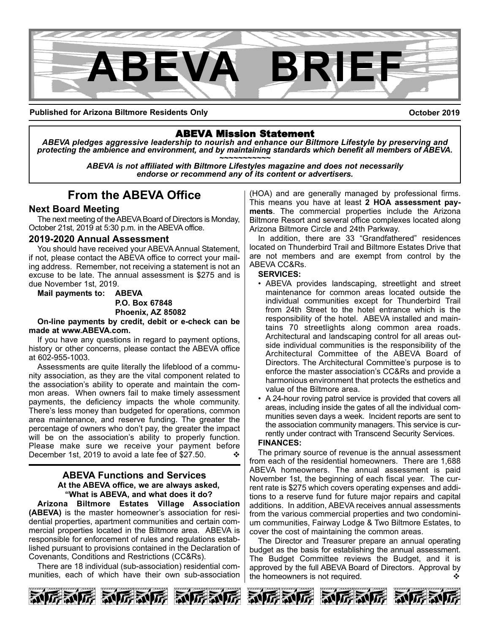

**Published for Arizona Biltmore Residents Only**

**October 2019**

ABEVA Mission Statement *ABEVA pledges aggressive leadership to nourish and enhance our Biltmore Lifestyle by preserving and* protecting the ambience and environment, and by maintaining standards which benefit all members of ABEVA.<br>ABEVA is not affiliated with Biltmore Lifestyles magazine and does not necessarily

*endorse or recommend any of its content or advertisers.*

## **From the ABEVA Office**

#### **Next Board Meeting**

The next meeting of the ABEVA Board of Directors is Monday, October 21st, 2019 at 5:30 p.m. in the ABEVA office.

#### **2019-2020 Annual Assessment**

You should have received your ABEVA Annual Statement, if not, please contact the ABEVA office to correct your mailing address. Remember, not receiving a statement is not an excuse to be late. The annual assessment is \$275 and is due November 1st, 2019.

**Mail payments to: ABEVA P.O. Box 67848**

#### **Phoenix, AZ 85082**

**On-line payments by credit, debit or e-check can be made at www.ABEVA.com.**

If you have any questions in regard to payment options, history or other concerns, please contact the ABEVA office at 602-955-1003.

Assessments are quite literally the lifeblood of a community association, as they are the vital component related to the association's ability to operate and maintain the common areas. When owners fail to make timely assessment payments, the deficiency impacts the whole community. There's less money than budgeted for operations, common area maintenance, and reserve funding. The greater the percentage of owners who don't pay, the greater the impact will be on the association's ability to properly function. Please make sure we receive your payment before December 1st, 2019 to avoid a late fee of \$27.50.  $\cdot\cdot\cdot$ 

#### **ABEVA Functions and Services At the ABEVA office, we are always asked, "What is ABEVA, and what does it do?**

**Arizona Biltmore Estates Village Association (ABEVA)** is the master homeowner's association for residential properties, apartment communities and certain commercial properties located in the Biltmore area. ABEVA is responsible for enforcement of rules and regulations established pursuant to provisions contained in the Declaration of Covenants, Conditions and Restrictions (CC&Rs).

There are 18 individual (sub-association) residential communities, each of which have their own sub-association

(HOA) and are generally managed by professional firms. This means you have at least **2 HOA assessment payments**. The commercial properties include the Arizona Biltmore Resort and several office complexes located along Arizona Biltmore Circle and 24th Parkway.

In addition, there are 33 "Grandfathered" residences located on Thunderbird Trail and Biltmore Estates Drive that are not members and are exempt from control by the ABEVA CC&Rs.

#### **SERVICES:**

- ABEVA provides landscaping, streetlight and street maintenance for common areas located outside the individual communities except for Thunderbird Trail from 24th Street to the hotel entrance which is the responsibility of the hotel. ABEVA installed and maintains 70 streetlights along common area roads. Architectural and landscaping control for all areas outside individual communities is the responsibility of the Architectural Committee of the ABEVA Board of Directors. The Architectural Committee's purpose is to enforce the master association's CC&Rs and provide a harmonious environment that protects the esthetics and value of the Biltmore area.
- A 24-hour roving patrol service is provided that covers all areas, including inside the gates of all the individual communities seven days a week. Incident reports are sent to the association community managers. This service is currently under contract with Transcend Security Services.

#### **FINANCES:**

The primary source of revenue is the annual assessment from each of the residential homeowners. There are 1,688 ABEVA homeowners. The annual assessment is paid November 1st, the beginning of each fiscal year. The current rate is \$275 which covers operating expenses and additions to a reserve fund for future major repairs and capital additions. In addition, ABEVA receives annual assessments from the various commercial properties and two condominium communities, Fairway Lodge & Two Biltmore Estates, to cover the cost of maintaining the common areas.

The Director and Treasurer prepare an annual operating budget as the basis for establishing the annual assessment. The Budget Committee reviews the Budget, and it is approved by the full ABEVA Board of Directors. Approval by the homeowners is not required.  $\mathbf{\hat{v}}$ 

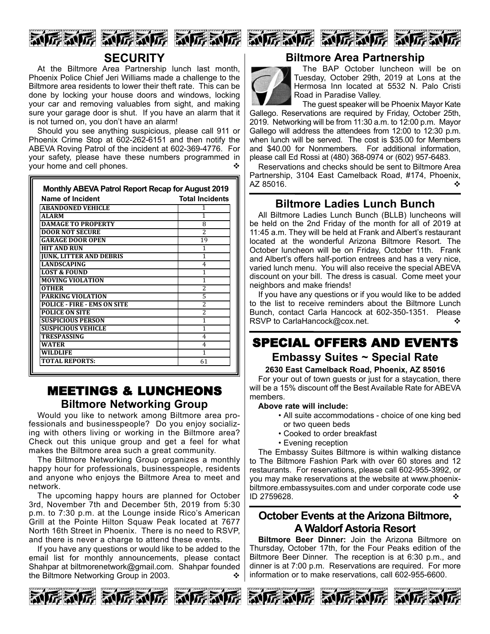







## **SECURITY**

At the Biltmore Area Partnership lunch last month, Phoenix Police Chief Jeri Williams made a challenge to the Biltmore area residents to lower their theft rate. This can be done by locking your house doors and windows, locking your car and removing valuables from sight, and making sure your garage door is shut. If you have an alarm that it is not turned on, you don't have an alarm!

Should you see anything suspicious, please call 911 or Phoenix Crime Stop at 602-262-6151 and then notify the ABEVA Roving Patrol of the incident at 602-369-4776. For your safety, please have these numbers programmed in your home and cell phones.

| <b>Name of Incident</b>            | <b>Total Incidents</b>   |
|------------------------------------|--------------------------|
| <b>ABANDONED VEHICLE</b>           |                          |
| <b>ALARM</b>                       | 1                        |
| <b>DAMAGE TO PROPERTY</b>          | 8                        |
| <b>DOOR NOT SECURE</b>             | $\overline{\mathcal{L}}$ |
| <b>GARAGE DOOR OPEN</b>            | 19                       |
| <b>HIT AND RUN</b>                 | 1                        |
| <b>JUNK, LITTER AND DEBRIS</b>     | 1                        |
| <b>LANDSCAPING</b>                 | 4                        |
| <b>LOST &amp; FOUND</b>            | 1                        |
| <b>MOVING VIOLATION</b>            | 1                        |
| OTHER                              | 2                        |
| <b>PARKING VIOLATION</b>           | 5                        |
| <b>POLICE - FIRE - EMS ON SITE</b> | 2                        |
| <b>POLICE ON SITE</b>              | 2                        |
| <b>SUSPICIOUS PERSON</b>           | 1                        |
| <b>SUSPICIOUS VEHICLE</b>          | 1                        |
| <b>TRESPASSING</b>                 | 4                        |
| <b>WATER</b>                       | 4                        |
| WILDLIFE                           | 1                        |
| TOTAL REPORTS:                     | 61                       |

## MEETINGS & LUNCHEONS **Biltmore Networking Group**

Would you like to network among Biltmore area professionals and businesspeople? Do you enjoy socializing with others living or working in the Biltmore area? Check out this unique group and get a feel for what makes the Biltmore area such a great community.

The Biltmore Networking Group organizes a monthly happy hour for professionals, businesspeople, residents and anyone who enjoys the Biltmore Area to meet and network.

The upcoming happy hours are planned for October 3rd, November 7th and December 5th, 2019 from 5:30 p.m. to 7:30 p.m. at the Lounge inside Rico's American Grill at the Pointe Hilton Squaw Peak located at 7677 North 16th Street in Phoenix. There is no need to RSVP, and there is never a charge to attend these events.

If you have any questions or would like to be added to the email list for monthly announcements, please contact Shahpar at biltmorenetwork@gmail.com. Shahpar founded the Biltmore Networking Group in 2003.



## **Biltmore Area Partnership**



The BAP October luncheon will be on Tuesday, October 29th, 2019 at Lons at the Hermosa Inn located at 5532 N. Palo Cristi Road in Paradise Valley.

The guest speaker will be Phoenix Mayor Kate Gallego. Reservations are required by Friday, October 25th, 2019. Networking will be from 11:30 a.m. to 12:00 p.m. Mayor Gallego will address the attendees from 12:00 to 12:30 p.m. when lunch will be served. The cost is \$35.00 for Members and \$40.00 for Nonmembers. For additional information, please call Ed Rossi at (480) 368-0974 or (602) 957-6483.

Reservations and checks should be sent to Biltmore Area Partnership, 3104 East Camelback Road, #174, Phoenix,  $AZ 85016.$ 

## **Biltmore Ladies Lunch Bunch**

All Biltmore Ladies Lunch Bunch (BLLB) luncheons will be held on the 2nd Friday of the month for all of 2019 at 11:45 a.m. They will be held at Frank and Albert's restaurant located at the wonderful Arizona Biltmore Resort. The October luncheon will be on Friday, October 11th. Frank and Albert's offers half-portion entrees and has a very nice, varied lunch menu. You will also receive the special ABEVA discount on your bill. The dress is casual. Come meet your neighbors and make friends!

If you have any questions or if you would like to be added to the list to receive reminders about the Biltmore Lunch Bunch, contact Carla Hancock at 602-350-1351. Please RSVP to CarlaHancock@cox.net. v  $\diamond$ 

## SPECIAL OFFERS AND EVENTS **Embassy Suites ~ Special Rate**

#### **2630 East Camelback Road, Phoenix, AZ 85016**

For your out of town guests or just for a staycation, there will be a 15% discount off the Best Available Rate for ABEVA members.

#### **Above rate will include:**

- All suite accommodations choice of one king bed or two queen beds
- Cooked to order breakfast
- Evening reception

The Embassy Suites Biltmore is within walking distance to The Biltmore Fashion Park with over 60 stores and 12 restaurants. For reservations, please call 602-955-3992, or you may make reservations at the website at www.phoenixbiltmore.embassysuites.com and under corporate code use ID 2759628.

## **October Events at the Arizona Biltmore, A Waldorf Astoria Resort**

**Biltmore Beer Dinner:** Join the Arizona Biltmore on Thursday, October 17th, for the Four Peaks edition of the Biltmore Beer Dinner. The reception is at 6:30 p.m., and dinner is at 7:00 p.m. Reservations are required. For more information or to make reservations, call 602-955-6600.





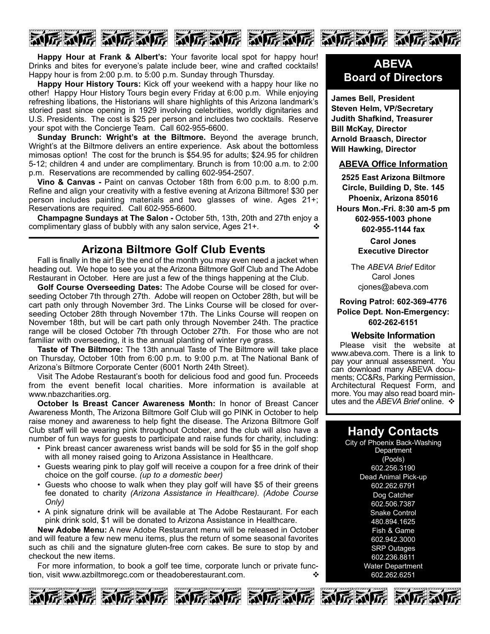

**Happy Hour at Frank & Albert's:** Your favorite local spot for happy hour! Drinks and bites for everyone's palate include beer, wine and crafted cocktails! Happy hour is from 2:00 p.m. to 5:00 p.m. Sunday through Thursday.

**Happy Hour History Tours:** Kick off your weekend with a happy hour like no other! Happy Hour History Tours begin every Friday at 6:00 p.m. While enjoying refreshing libations, the Historians will share highlights of this Arizona landmark's storied past since opening in 1929 involving celebrities, worldly dignitaries and U.S. Presidents. The cost is \$25 per person and includes two cocktails. Reserve your spot with the Concierge Team. Call 602-955-6600.

**Sunday Brunch: Wright's at the Biltmore.** Beyond the average brunch, Wright's at the Biltmore delivers an entire experience. Ask about the bottomless mimosas option! The cost for the brunch is \$54.95 for adults; \$24.95 for children 5-12; children 4 and under are complimentary. Brunch is from 10:00 a.m. to 2:00 p.m. Reservations are recommended by calling 602-954-2507.

**Vino & Canvas -** Paint on canvas October 18th from 6:00 p.m. to 8:00 p.m. Refine and align your creativity with a festive evening at Arizona Biltmore! \$30 per person includes painting materials and two glasses of wine. Ages 21+; Reservations are required. Call 602-955-6600.

**Champagne Sundays at The Salon -** October 5th, 13th, 20th and 27th enjoy a complimentary glass of bubbly with any salon service, Ages 21+.

### **Arizona Biltmore Golf Club Events**

Fall is finally in the air! By the end of the month you may even need a jacket when heading out. We hope to see you at the Arizona Biltmore Golf Club and The Adobe Restaurant in October. Here are just a few of the things happening at the Club.

**Golf Course Overseeding Dates:** The Adobe Course will be closed for overseeding October 7th through 27th. Adobe will reopen on October 28th, but will be cart path only through November 3rd. The Links Course will be closed for overseeding October 28th through November 17th. The Links Course will reopen on November 18th, but will be cart path only through November 24th. The practice range will be closed October 7th through October 27th. For those who are not familiar with overseeding, it is the annual planting of winter rye grass.

**Taste of The Biltmore:** The 13th annual Taste of The Biltmore will take place on Thursday, October 10th from 6:00 p.m. to 9:00 p.m. at The National Bank of Arizona's Biltmore Corporate Center (6001 North 24th Street).

Visit The Adobe Restaurant's booth for delicious food and good fun. Proceeds from the event benefit local charities. More information is available at www.nbazcharities.org.

**October Is Breast Cancer Awareness Month:** In honor of Breast Cancer Awareness Month, The Arizona Biltmore Golf Club will go PINK in October to help raise money and awareness to help fight the disease. The Arizona Biltmore Golf Club staff will be wearing pink throughout October, and the club will also have a number of fun ways for guests to participate and raise funds for charity, including:

- Pink breast cancer awareness wrist bands will be sold for \$5 in the golf shop with all money raised going to Arizona Assistance in Healthcare.
- Guests wearing pink to play golf will receive a coupon for a free drink of their choice on the golf course. *(up to a domestic beer)*
- Guests who choose to walk when they play golf will have \$5 of their greens fee donated to charity *(Arizona Assistance in Healthcare). (Adobe Course Only)*
- A pink signature drink will be available at The Adobe Restaurant. For each pink drink sold, \$1 will be donated to Arizona Assistance in Healthcare.

**New Adobe Menu:** A new Adobe Restaurant menu will be released in October and will feature a few new menu items, plus the return of some seasonal favorites such as chili and the signature gluten-free corn cakes. Be sure to stop by and checkout the new items.

For more information, to book a golf tee time, corporate lunch or private function, visit www.azbiltmoregc.com or theadoberestaurant.com.  $\cdot$ 







## **ABEVA Board of Directors**

**James Bell, President Steven Helm, VP/Secretary Judith Shafkind, Treasurer Bill McKay, Director Arnold Braasch, Director Will Hawking, Director**

#### **ABEVA Office Information**

**2525 East Arizona Biltmore Circle, Building D, Ste. 145 Phoenix, Arizona 85016 Hours Mon.-Fri. 8:30 am-5 pm 602-955-1003 phone 602-955-1144 fax**

> **Carol Jones Executive Director**

The *ABEVA Brief* Editor Carol Jones cjones@abeva.com

#### **Roving Patrol: 602-369-4776 Police Dept. Non-Emergency: 602-262-6151**

#### **Website Information**

Please visit the website at www.abeva.com. There is a link to pay your annual assessment. You can download many ABEVA documents; CC&Rs, Parking Permission, Architectural Request Form, and more. You may also read board minutes and the *ABEVA Brief* online. ❖

## **Handy Contacts**

City of Phoenix Back-Washing **Department** (Pools) 602.256.3190 Dead Animal Pick-up 602.262.6791 Dog Catcher 602.506.7387 **Snake Control** 480.894.1625 Fish & Game 602.942.3000 SRP Outages 602.236.8811 Water Department 602.262.6251